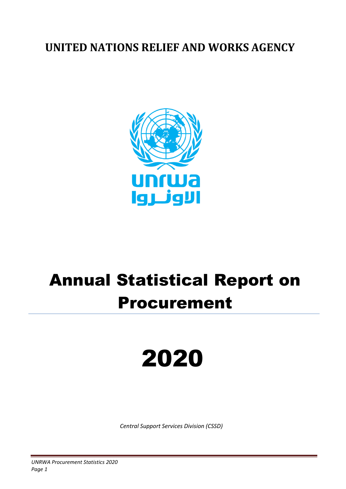### **UNITED NATIONS RELIEF AND WORKS AGENCY**



## Annual Statistical Report on Procurement

# 2020

*Central Support Services Division (CSSD)*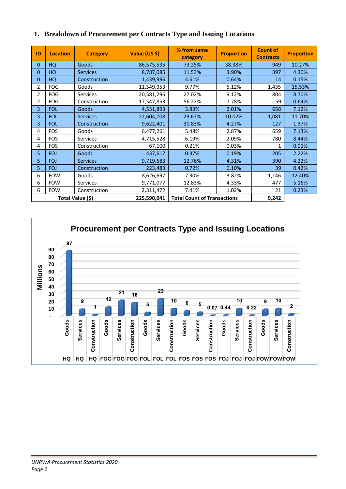| ID               | <b>Location</b> | <b>Category</b> | Value (US \$)                      | % from same<br><b>Proportion</b><br>category |        | <b>Count of</b><br><b>Contracts</b> | <b>Proportion</b> |
|------------------|-----------------|-----------------|------------------------------------|----------------------------------------------|--------|-------------------------------------|-------------------|
| $\Omega$         | HQ              | Goods           | 86,575,535                         | 73.25%                                       | 38.38% | 949                                 | 10.27%            |
| 0                | HQ              | <b>Services</b> | 8,787,085                          | 11.53%                                       | 3.90%  | 397                                 | 4.30%             |
| 0                | HQ              | Construction    | 1,439,996                          | 4.61%                                        | 0.64%  | 14                                  | 0.15%             |
| 2                | <b>FOG</b>      | Goods           | 11,549,353                         | 9.77%                                        | 5.12%  | 1,435                               | 15.53%            |
| $\overline{2}$   | <b>FOG</b>      | <b>Services</b> | 20,581,296                         | 27.02%                                       | 9.12%  | 804                                 | 8.70%             |
| $\overline{2}$   | <b>FOG</b>      | Construction    | 17,547,853                         | 56.22%                                       | 7.78%  | 59                                  | 0.64%             |
| 3                | <b>FOL</b>      | Goods           | 4,531,893                          | 3.83%                                        | 2.01%  | 658                                 | 7.12%             |
| 3                | <b>FOL</b>      | <b>Services</b> | 22,604,708                         | 29.67%                                       | 10.02% | 1,081                               | 11.70%            |
| 3                | <b>FOL</b>      | Construction    | 9,622,401                          | 30.83%                                       | 4.27%  | 127                                 | 1.37%             |
| 4                | FOS             | Goods           | 6,477,261                          | 5.48%                                        | 2.87%  | 659                                 | 7.13%             |
| 4                | <b>FOS</b>      | <b>Services</b> | 4,715,528                          | 6.19%                                        | 2.09%  | 780                                 | 8.44%             |
| 4                | <b>FOS</b>      | Construction    | 67,100                             | 0.21%                                        | 0.03%  | 1                                   | 0.01%             |
| 5                | <b>FOJ</b>      | Goods           | 437,617                            | 0.37%                                        | 0.19%  | 205                                 | 2.22%             |
| 5                | <b>FOJ</b>      | <b>Services</b> | 9,719,683                          | 12.76%                                       | 4.31%  | 390                                 | 4.22%             |
| 5                | <b>FOJ</b>      | Construction    | 223,483                            | 0.72%                                        | 0.10%  | 39                                  | 0.42%             |
| 6                | <b>FOW</b>      | Goods           | 8,626,697                          | 7.30%                                        | 3.82%  | 1,146                               | 12.40%            |
| 6                | <b>FOW</b>      | <b>Services</b> | 9,771,077                          | 12.83%                                       | 4.33%  | 477                                 | 5.16%             |
| 6                | <b>FOW</b>      | Construction    | 2,311,472                          | 7.41%                                        | 1.02%  | 21                                  | 0.23%             |
| Total Value (\$) |                 | 225,590,041     | <b>Total Count of Transactions</b> |                                              | 9,242  |                                     |                   |

#### **1. Breakdown of Procurement per Contracts Type and Issuing Locations**

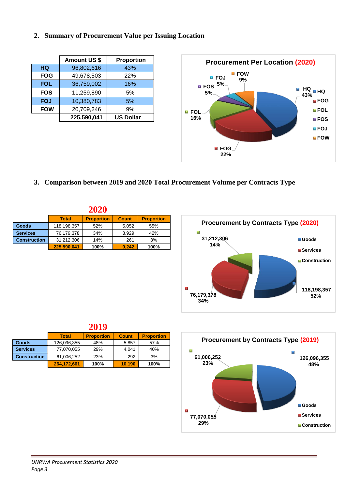#### **2. Summary of Procurement Value per Issuing Location**

|            | <b>Amount US \$</b> | <b>Proportion</b> |
|------------|---------------------|-------------------|
| HQ         | 96,802,616          | 43%               |
| <b>FOG</b> | 49,678,503          | 22%               |
| <b>FOL</b> | 36,759,002          | 16%               |
| <b>FOS</b> | 11,259,890          | 5%                |
| <b>FOJ</b> | 10,380,783          | 5%                |
| <b>FOW</b> | 20,709,246          | 9%                |
|            | 225,590,041         | <b>US Dollar</b>  |



**3. Comparison between 2019 and 2020 Total Procurement Volume per Contracts Type**

|                     |              | 2020              |              |                   |
|---------------------|--------------|-------------------|--------------|-------------------|
|                     | <b>Total</b> | <b>Proportion</b> | <b>Count</b> | <b>Proportion</b> |
| <b>Goods</b>        | 118,198,357  | 52%               | 5,052        | 55%               |
| <b>Services</b>     | 76,179,378   | 34%               | 3,929        | 42%               |
| <b>Construction</b> | 31,212,306   | 14%               | 261          | 3%                |
|                     | 225.590.041  | 100%              | 9.242        | 100%              |



|                     |              | 2019              |              |                   |
|---------------------|--------------|-------------------|--------------|-------------------|
|                     | <b>Total</b> | <b>Proportion</b> | <b>Count</b> | <b>Proportion</b> |
| <b>Goods</b>        | 126,096,355  | 48%               | 5,857        | 57%               |
| <b>Services</b>     | 77,070,055   | 29%               | 4.041        | 40%               |
| <b>Construction</b> | 61,006,252   | 23%               | 292          | 3%                |
|                     | 264,172,661  | 100%              | 10,190       | 100%              |

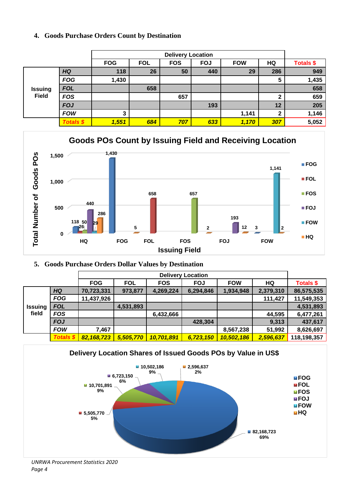#### **4. Goods Purchase Orders Count by Destination**

|                |                  | <b>Delivery Location</b> |            |            |            |            |     |                  |
|----------------|------------------|--------------------------|------------|------------|------------|------------|-----|------------------|
|                |                  | <b>FOG</b>               | <b>FOL</b> | <b>FOS</b> | <b>FOJ</b> | <b>FOW</b> | HQ  | <b>Totals \$</b> |
|                | <b>HQ</b>        | 118                      | 26         | 50         | 440        | 29         | 286 | 949              |
|                | <b>FOG</b>       | 1,430                    |            |            |            |            | 5   | 1,435            |
| <b>Issuing</b> | <b>FOL</b>       |                          | 658        |            |            |            |     | 658              |
| <b>Field</b>   | <b>FOS</b>       |                          |            | 657        |            |            | 2   | 659              |
|                | <b>FOJ</b>       |                          |            |            | 193        |            | 12  | 205              |
|                | <b>FOW</b>       | 3                        |            |            |            | 1,141      | ◠   | 1,146            |
|                | <b>Totals \$</b> | 1,551                    | 684        | 707        | 633        | 1,170      | 307 | 5,052            |



#### **5. Goods Purchase Orders Dollar Values by Destination**

|                |               | <b>FOG</b> | <b>FOL</b> | <b>FOS</b> | <b>FOJ</b> | <b>FOW</b> | HQ        | <b>Totals \$</b> |
|----------------|---------------|------------|------------|------------|------------|------------|-----------|------------------|
|                | <b>HQ</b>     | 70,723,331 | 973,877    | 4,269,224  | 6,294,846  | 1,934,948  | 2,379,310 | 86,575,535       |
|                | <b>FOG</b>    | 11,437,926 |            |            |            |            | 111,427   | 11,549,353       |
| <b>Issuing</b> | <b>FOL</b>    |            | 4,531,893  |            |            |            |           | 4,531,893        |
| field          | <b>FOS</b>    |            |            | 6,432,666  |            |            | 44,595    | 6,477,261        |
|                | <b>FOJ</b>    |            |            |            | 428,304    |            | 9,313     | 437,617          |
|                | <b>FOW</b>    | 7,467      |            |            |            | 8,567,238  | 51,992    | 8,626,697        |
|                | <b>Totals</b> | 82,168,723 | 5,505,770  | 10,701,891 | 6,723,150  | 10,502,186 | 2,596,637 | 118,198,357      |

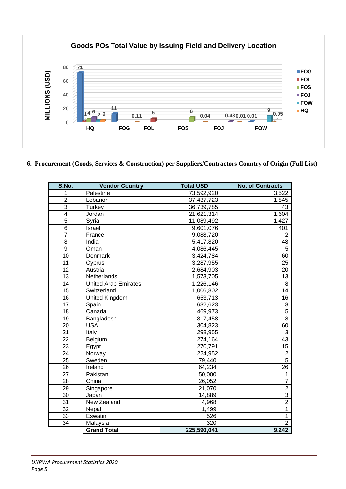

**6. Procurement (Goods, Services & Construction) per Suppliers/Contractors Country of Origin (Full List)**

| S.No.                   | <b>Vendor Country</b>       | <b>Total USD</b> | <b>No. of Contracts</b> |
|-------------------------|-----------------------------|------------------|-------------------------|
| 1                       | Palestine                   | 73,592,920       | 3,522                   |
| $\overline{2}$          | Lebanon                     | 37,437,723       | 1,845                   |
| $\overline{3}$          | Turkey                      | 36,739,785       | 43                      |
| $\overline{\mathbf{4}}$ | Jordan                      | 21,621,314       | 1,604                   |
| $\overline{5}$          | Syria                       | 11,089,492       | 1,427                   |
| 6                       | Israel                      | 9,601,076        | 401                     |
| $\overline{7}$          | France                      | 9,088,720        | $\overline{2}$          |
| 8                       | India                       | 5,417,820        | 48                      |
| $\overline{9}$          | Oman                        | 4,086,445        | 5                       |
| 10                      | Denmark                     | 3,424,784        | 60                      |
| 11                      | Cyprus                      | 3,287,955        | 25                      |
| 12                      | Austria                     | 2,684,903        | 20                      |
| 13                      | Netherlands                 | 1,573,705        | 13                      |
| 14                      | <b>United Arab Emirates</b> | 1,226,146        | $\,8\,$                 |
| 15                      | Switzerland                 | 1,006,802        | 14                      |
| 16                      | United Kingdom              | 653,713          | 16                      |
| 17                      | Spain                       | 632,623          | 3                       |
| $\overline{18}$         | Canada                      | 469,973          | $\overline{5}$          |
| $\overline{19}$         | Bangladesh                  | 317,458          | $\overline{8}$          |
| 20                      | <b>USA</b>                  | 304,823          | 60                      |
| $\overline{21}$         | Italy                       | 298,955          | 3                       |
| $\overline{22}$         | Belgium                     | 274,164          | $\overline{43}$         |
| 23                      | Egypt                       | 270,791          | 15                      |
| $\overline{24}$         | Norway                      | 224,952          | $\overline{2}$          |
| 25                      | Sweden                      | 79,440           | $\overline{5}$          |
| $\overline{26}$         | Ireland                     | 64,234           | $\overline{26}$         |
| 27                      | Pakistan                    | 50,000           | 1                       |
| 28                      | China                       | 26,052           | $\overline{7}$          |
| 29                      | Singapore                   | 21,070           | $\overline{2}$          |
| 30                      | Japan                       | 14,889           | $\overline{3}$          |
| 31                      | New Zealand                 | 4,968            | $\overline{2}$          |
| 32                      | Nepal                       | 1,499            | $\overline{1}$          |
| $\overline{33}$         | Eswatini                    | 526              | $\mathbf{1}$            |
| 34                      | Malaysia                    | 320              | $\overline{2}$          |
|                         | <b>Grand Total</b>          | 225,590,041      | 9,242                   |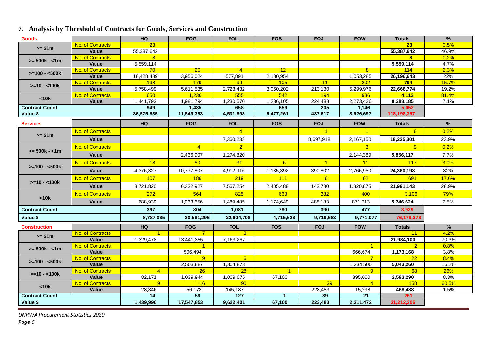#### **7. Analysis by Threshold of Contracts for Goods, Services and Construction**

| <b>Goods</b>          |                           | HQ.              | <b>FOG</b>         | <b>FOL</b>       | <b>FOS</b>       | <b>FOJ</b>      | <b>FOW</b>       | <b>Totals</b>      | $\%$          |
|-----------------------|---------------------------|------------------|--------------------|------------------|------------------|-----------------|------------------|--------------------|---------------|
| $>= $1m$              | No. of Contracts          | 23               |                    |                  |                  |                 |                  | 23                 | 0.5%          |
|                       | Value                     | 55,387,642       |                    |                  |                  |                 |                  | 55,387,642         | 46.9%         |
| $>= 500k - 1m$        | No. of Contracts          | <b>8</b>         |                    |                  |                  |                 |                  | $\mathbf{8}$       | 0.2%          |
|                       | Value                     | 5,559,114        |                    |                  |                  |                 |                  | 5,559,114          | 4.7%          |
| $>=100 - 500k$        | No. of Contracts          | 70               | 20 <sup>2</sup>    | $\overline{4}$   | 12 <sup>2</sup>  |                 | 8 <sup>2</sup>   | 114                | 2.3%          |
|                       | Value                     | 18,428,489       | 3,956,024          | 577,891          | 2,180,954        |                 | 1,053,285        | 26,196,643         | 22%           |
| $>=10 - 100k$         | No. of Contracts          | <b>198</b>       | 179                | 99               | 105              | 11              | 202              | 794                | 15.7%         |
|                       | Value                     | 5,758,499        | 5,611,535          | 2,723,432        | 3,060,202        | 213,130         | 5,299,976        | 22,666,774         | 19.2%         |
| < 10k                 | No. of Contracts<br>Value | 650<br>1,441,792 | 1,236<br>1,981,794 | 555<br>1,230,570 | 542<br>1,236,105 | 194<br>224,488  | 936<br>2,273,436 | 4,113<br>8,388,185 | 81.4%<br>7.1% |
| <b>Contract Count</b> |                           | 949              | 1,435              | 658              | 659              | 205             | 1,146            | 5.052              |               |
| Value \$              |                           | 86,575,535       | 11,549,353         | 4,531,893        | 6,477,261        | 437,617         | 8,626,697        | 118,198,357        |               |
|                       |                           |                  |                    |                  |                  |                 |                  |                    |               |
| <b>Services</b>       |                           | <b>HQ</b>        | <b>FOG</b>         | <b>FOL</b>       | <b>FOS</b>       | <b>FOJ</b>      | <b>FOW</b>       | <b>Totals</b>      | $\%$          |
| $>= $1m$              | <b>No. of Contracts</b>   |                  |                    | $\overline{4}$   |                  | $-1$            | $\overline{1}$   | 6                  | 0.2%          |
|                       | Value                     |                  |                    | 7,360,233        |                  | 8,697,918       | 2,167,150        | 18,225,301         | 23.9%         |
|                       | No. of Contracts          |                  | $\overline{4}$     | $\overline{2}$   |                  |                 | 3 <sup>°</sup>   | 9                  | 0.2%          |
| $>= 500k - 1m$        | Value                     |                  | 2,436,907          | 1,274,820        |                  |                 | 2,144,389        | 5,856,117          | 7.7%          |
| $>=100 - 500k$        | No. of Contracts          | 18               | 50                 | 31               | 6 <sup>°</sup>   | $\overline{1}$  | 11               | 117                | 3.0%          |
|                       | Value                     | 4,376,327        | 10,777,807         | 4,912,916        | 1,135,392        | 390,802         | 2,766,950        | 24,360,193         | 32%           |
| $>=10 - 100k$         | No. of Contracts          | 107              | <b>186</b>         | 219              | 111              | 6               | 62               | 691                | 17.6%         |
|                       | Value                     | 3,721,820        | 6,332,927          | 7,567,254        | 2,405,488        | 142,780         | 1,820,875        | 21,991,143         | 28.9%         |
| < 10k                 | <b>No. of Contracts</b>   | 272              | 564                | 825              | 663              | 382             | 400              | 3,106              | 79%           |
|                       | Value                     | 688,939          | 1,033,656          | 1,489,485        | 1,174,649        | 488,183         | 871,713          | 5,746,624          | 7.5%          |
| <b>Contract Count</b> |                           | 397              | 804                | 1.081            | 780              | 390             | 477              | 3.929              |               |
| Value \$              |                           | 8,787,085        | 20,581,296         | 22,604,708       | 4,715,528        | 9,719,683       | 9,771,077        | 76,179,378         |               |
| <b>Construction</b>   |                           | <b>HQ</b>        | <b>FOG</b>         | <b>FOL</b>       | <b>FOS</b>       | <b>FOJ</b>      | <b>FOW</b>       | <b>Totals</b>      | $\frac{9}{6}$ |
| $>= $1m$              | No. of Contracts          |                  | $\overline{7}$     | $\mathbf{3}$     |                  |                 |                  | 11                 | 4.2%          |
|                       | Value                     | 1,329,478        | 13,441,355         | 7,163,267        |                  |                 |                  | 21,934,100         | 70.3%         |
| $>= 500k - 1m$        | No. of Contracts          |                  | -1                 |                  |                  |                 |                  | $\overline{2}$     | 0.8%          |
|                       | Value                     |                  | 506,494            |                  |                  |                 | 666,674          | 1,173,168          | 3.8%          |
| $>=100 - 500k$        | No. of Contracts          |                  | $\overline{9}$     | $6^{\circ}$      |                  |                 | $\overline{7}$   | 22                 | 8.4%          |
|                       | Value                     |                  | 2,503,887          | 1,304,873        |                  |                 | 1,234,500        | 5,043,260          | 16.2%         |
| $>=10 - 100k$         | No. of Contracts          | $\overline{4}$   | 26                 | 28               | $\overline{1}$   |                 | 9                | 68                 | <b>26%</b>    |
|                       | Value                     | 82,171           | 1,039,944          | 1,009,075        | 67,100           |                 | 395,000          | 2,593,290          | 8.3%          |
| < 10k                 | No. of Contracts          | 9 <sup>°</sup>   | 16                 | 90 <sub>o</sub>  |                  | 39 <sup>°</sup> | $\overline{4}$   | 158                | 60.5%         |
|                       | <b>Value</b>              | 28,346<br>14     | 56,173<br>59       | 145,187          | $\overline{1}$   | 223,483         | 15,298<br>21     | 468,488            | 1.5%          |
| <b>Contract Count</b> |                           |                  |                    | 127              |                  | 39              |                  | 261                |               |
| Value \$              |                           | 1,439,996        | 17,547,853         | 9,622,401        | 67,100           | 223,483         | 2,311,472        | 31,212,306         |               |

*UNRWA Procurement Statistics 2020 Page 6*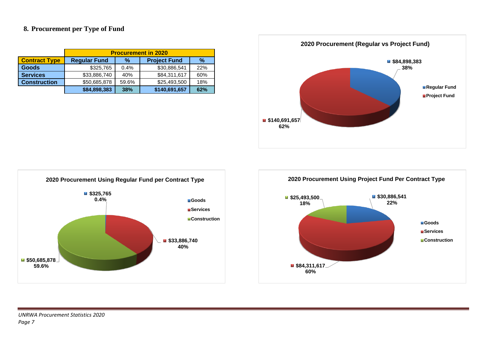#### **8. Procurement per Type of Fund**

|                      | <b>Procurement in 2020</b> |            |                     |     |  |  |  |  |
|----------------------|----------------------------|------------|---------------------|-----|--|--|--|--|
| <b>Contract Type</b> | <b>Regular Fund</b>        | %          | <b>Project Fund</b> | %   |  |  |  |  |
| <b>Goods</b>         | \$325,765                  | 0.4%       | \$30,886,541        | 22% |  |  |  |  |
| <b>Services</b>      | \$33,886,740               | 40%        | \$84,311,617        | 60% |  |  |  |  |
| <b>Construction</b>  | \$50,685,878               | 59.6%      | \$25,493,500        | 18% |  |  |  |  |
|                      | \$84,898,383               | <b>38%</b> | \$140,691,657       | 62% |  |  |  |  |





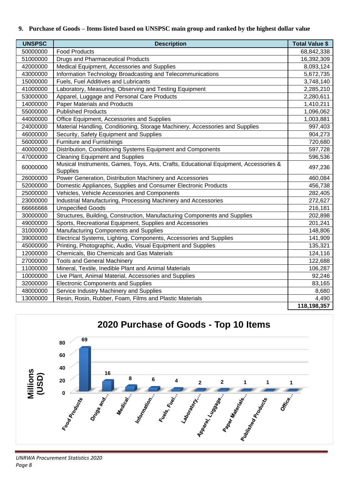#### **9. Purchase of Goods – Items listed based on UNSPSC main group and ranked by the highest dollar value**

| <b>UNSPSC</b> | <b>Description</b>                                                                                      | <b>Total Value \$</b> |
|---------------|---------------------------------------------------------------------------------------------------------|-----------------------|
| 50000000      | <b>Food Products</b>                                                                                    | 68,842,338            |
| 51000000      | <b>Drugs and Pharmaceutical Products</b>                                                                | 16,392,309            |
| 42000000      | Medical Equipment, Accessories and Supplies                                                             | 8,093,124             |
| 43000000      | Information Technology Broadcasting and Telecommunications                                              | 5,672,735             |
| 15000000      | Fuels, Fuel Additives and Lubricants                                                                    | 3,748,140             |
| 41000000      | Laboratory, Measuring, Observing and Testing Equipment                                                  | 2,285,210             |
| 53000000      | Apparel, Luggage and Personal Care Products                                                             | 2,280,611             |
| 14000000      | <b>Paper Materials and Products</b>                                                                     | 1,410,211             |
| 55000000      | <b>Published Products</b>                                                                               | 1,096,062             |
| 44000000      | Office Equipment, Accessories and Supplies                                                              | 1,003,881             |
| 24000000      | Material Handling, Conditioning, Storage Machinery, Accessories and Supplies                            | 997,403               |
| 46000000      | Security, Safety Equipment and Supplies                                                                 | 904,273               |
| 56000000      | Furniture and Furnishings                                                                               | 720,680               |
| 40000000      | Distribution, Conditioning Systems Equipment and Components                                             | 597,728               |
| 47000000      | <b>Cleaning Equipment and Supplies</b>                                                                  | 596,536               |
| 60000000      | Musical Instruments, Games, Toys, Arts, Crafts, Educational Equipment, Accessories &<br><b>Supplies</b> | 497,236               |
| 26000000      | Power Generation, Distribution Machinery and Accessories                                                | 460,084               |
| 52000000      | Domestic Appliances, Supplies and Consumer Electronic Products                                          | 456,738               |
| 25000000      | Vehicles, Vehicle Accessories and Components                                                            | 282,405               |
| 23000000      | Industrial Manufacturing, Processing Machinery and Accessories                                          | 272,627               |
| 6666666       | <b>Unspecified Goods</b>                                                                                | 216,181               |
| 30000000      | Structures, Building, Construction, Manufacturing Components and Supplies                               | 202,898               |
| 49000000      | Sports, Recreational Equipment, Supplies and Accessories                                                | 201,241               |
| 31000000      | Manufacturing Components and Supplies                                                                   | 148,806               |
| 39000000      | Electrical Systems, Lighting, Components, Accessories and Supplies                                      | 141,909               |
| 45000000      | Printing, Photographic, Audio, Visual Equipment and Supplies                                            | 135,321               |
| 12000000      | Chemicals, Bio Chemicals and Gas Materials                                                              | 124,116               |
| 27000000      | <b>Tools and General Machinery</b>                                                                      | 122,688               |
| 11000000      | Mineral, Textile, Inedible Plant and Animal Materials                                                   | 106,287               |
| 10000000      | Live Plant, Animal Material, Accessories and Supplies                                                   | 92,246                |
| 32000000      | <b>Electronic Components and Supplies</b>                                                               | 83,165                |
| 48000000      | Service Industry Machinery and Supplies                                                                 | 8,680                 |
| 13000000      | Resin, Rosin, Rubber, Foam, Films and Plastic Materials                                                 | 4,490                 |
|               |                                                                                                         | 118,198,357           |



*UNRWA Procurement Statistics 2020 Page 8*